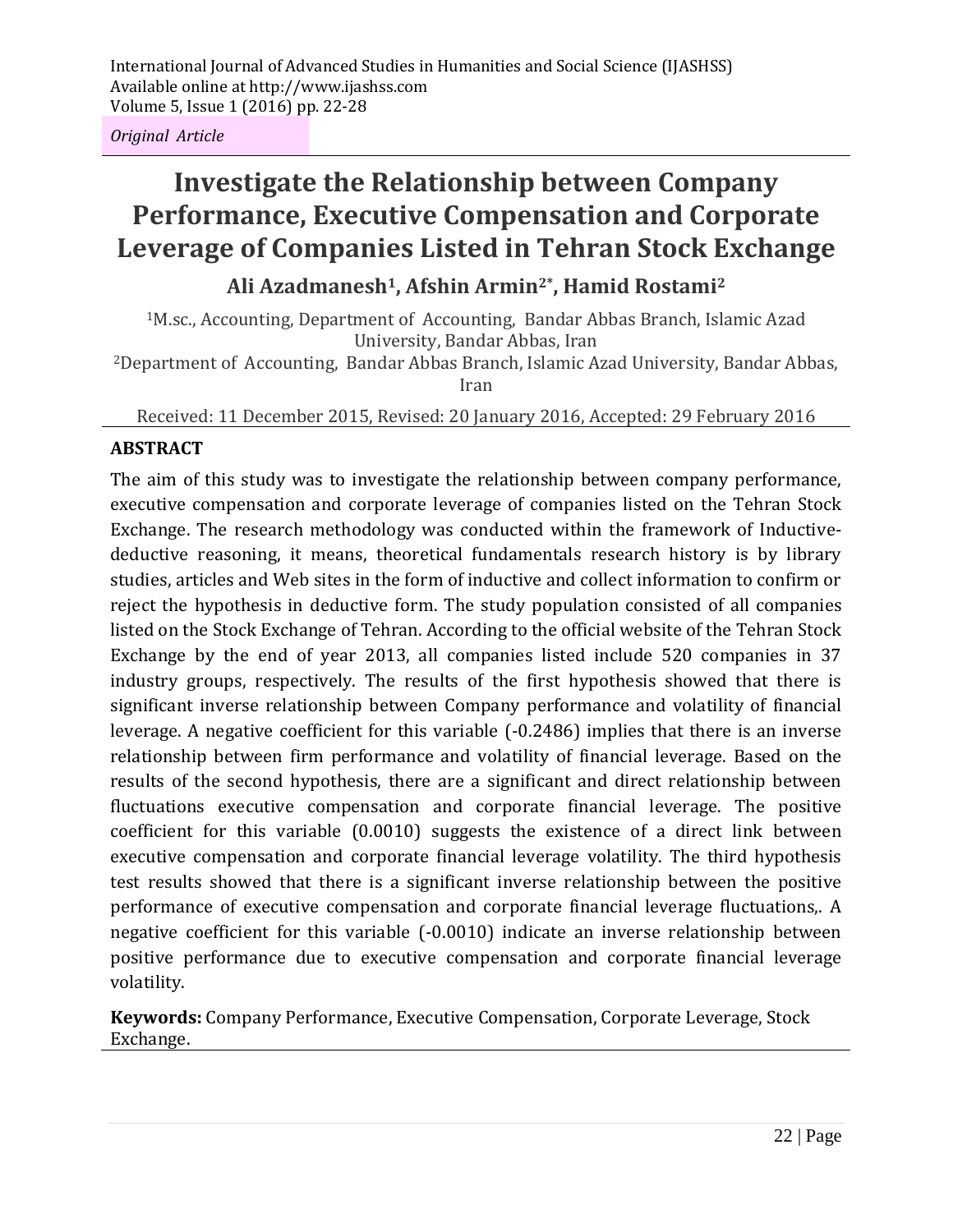*Original Article*

# **Investigate the Relationship between Company Performance, Executive Compensation and Corporate Leverage of Companies Listed in Tehran Stock Exchange**

## **Ali Azadmanesh1, Afshin Armin2\*, Hamid Rostami<sup>2</sup>**

<sup>1</sup>M.sc., Accounting, Department of Accounting, Bandar Abbas Branch, Islamic Azad University, Bandar Abbas, Iran

<sup>2</sup>Department of Accounting, Bandar Abbas Branch, Islamic Azad University, Bandar Abbas, Iran

Received: 11 December 2015, Revised: 20 January 2016, Accepted: 29 February 2016

## **ABSTRACT**

The aim of this study was to investigate the relationship between company performance, executive compensation and corporate leverage of companies listed on the Tehran Stock Exchange. The research methodology was conducted within the framework of Inductivedeductive reasoning, it means, theoretical fundamentals research history is by library studies, articles and Web sites in the form of inductive and collect information to confirm or reject the hypothesis in deductive form. The study population consisted of all companies listed on the Stock Exchange of Tehran. According to the official website of the Tehran Stock Exchange by the end of year 2013, all companies listed include 520 companies in 37 industry groups, respectively. The results of the first hypothesis showed that there is significant inverse relationship between Company performance and volatility of financial leverage. A negative coefficient for this variable (-0.2486) implies that there is an inverse relationship between firm performance and volatility of financial leverage. Based on the results of the second hypothesis, there are a significant and direct relationship between fluctuations executive compensation and corporate financial leverage. The positive coefficient for this variable (0.0010) suggests the existence of a direct link between executive compensation and corporate financial leverage volatility. The third hypothesis test results showed that there is a significant inverse relationship between the positive performance of executive compensation and corporate financial leverage fluctuations,. A negative coefficient for this variable (-0.0010) indicate an inverse relationship between positive performance due to executive compensation and corporate financial leverage volatility.

**Keywords:** Company Performance, Executive Compensation, Corporate Leverage, Stock Exchange.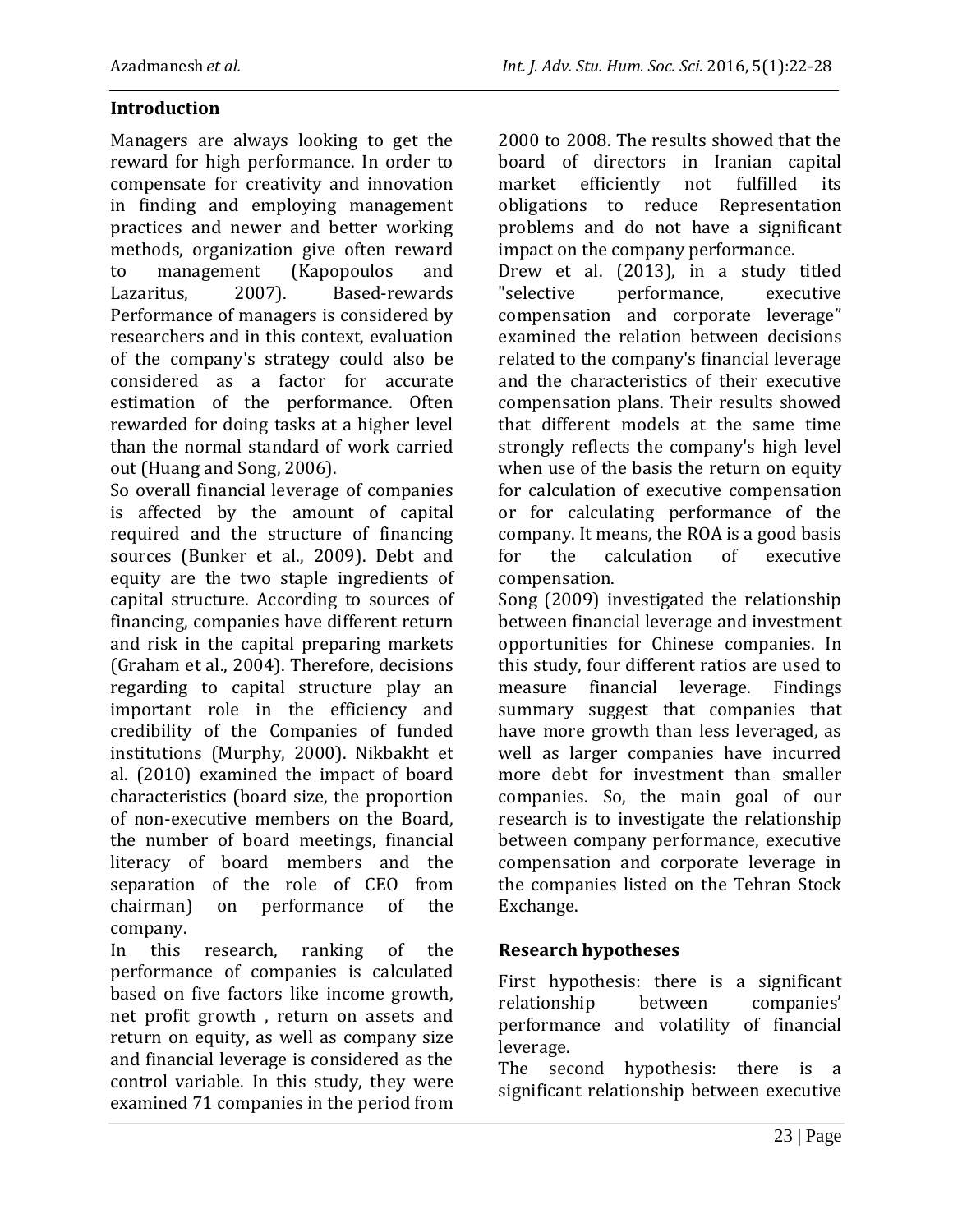## **Introduction**

Managers are always looking to get the reward for high performance. In order to compensate for creativity and innovation in finding and employing management practices and newer and better working methods, organization give often reward to management (Kapopoulos and Lazaritus, 2007). Based-rewards Performance of managers is considered by researchers and in this context, evaluation of the company's strategy could also be considered as a factor for accurate estimation of the performance. Often rewarded for doing tasks at a higher level than the normal standard of work carried out (Huang and Song, 2006).

So overall financial leverage of companies is affected by the amount of capital required and the structure of financing sources (Bunker et al., 2009). Debt and equity are the two staple ingredients of capital structure. According to sources of financing, companies have different return and risk in the capital preparing markets (Graham et al., 2004). Therefore, decisions regarding to capital structure play an important role in the efficiency and credibility of the Companies of funded institutions (Murphy, 2000). Nikbakht et al. (2010) examined the impact of board characteristics (board size, the proportion of non-executive members on the Board, the number of board meetings, financial literacy of board members and the separation of the role of CEO from chairman) on performance of the company.

In this research, ranking of the performance of companies is calculated based on five factors like income growth, net profit growth , return on assets and return on equity, as well as company size and financial leverage is considered as the control variable. In this study, they were examined 71 companies in the period from 2000 to 2008. The results showed that the board of directors in Iranian capital market efficiently not fulfilled its obligations to reduce Representation problems and do not have a significant impact on the company performance.

Drew et al. (2013), in a study titled "selective performance, executive compensation and corporate leverage" examined the relation between decisions related to the company's financial leverage and the characteristics of their executive compensation plans. Their results showed that different models at the same time strongly reflects the company's high level when use of the basis the return on equity for calculation of executive compensation or for calculating performance of the company. It means, the ROA is a good basis for the calculation of executive compensation.

Song (2009) investigated the relationship between financial leverage and investment opportunities for Chinese companies. In this study, four different ratios are used to measure financial leverage. Findings summary suggest that companies that have more growth than less leveraged, as well as larger companies have incurred more debt for investment than smaller companies. So, the main goal of our research is to investigate the relationship between company performance, executive compensation and corporate leverage in the companies listed on the Tehran Stock Exchange.

## **Research hypotheses**

First hypothesis: there is a significant relationship between companies' performance and volatility of financial leverage.

The second hypothesis: there is a significant relationship between executive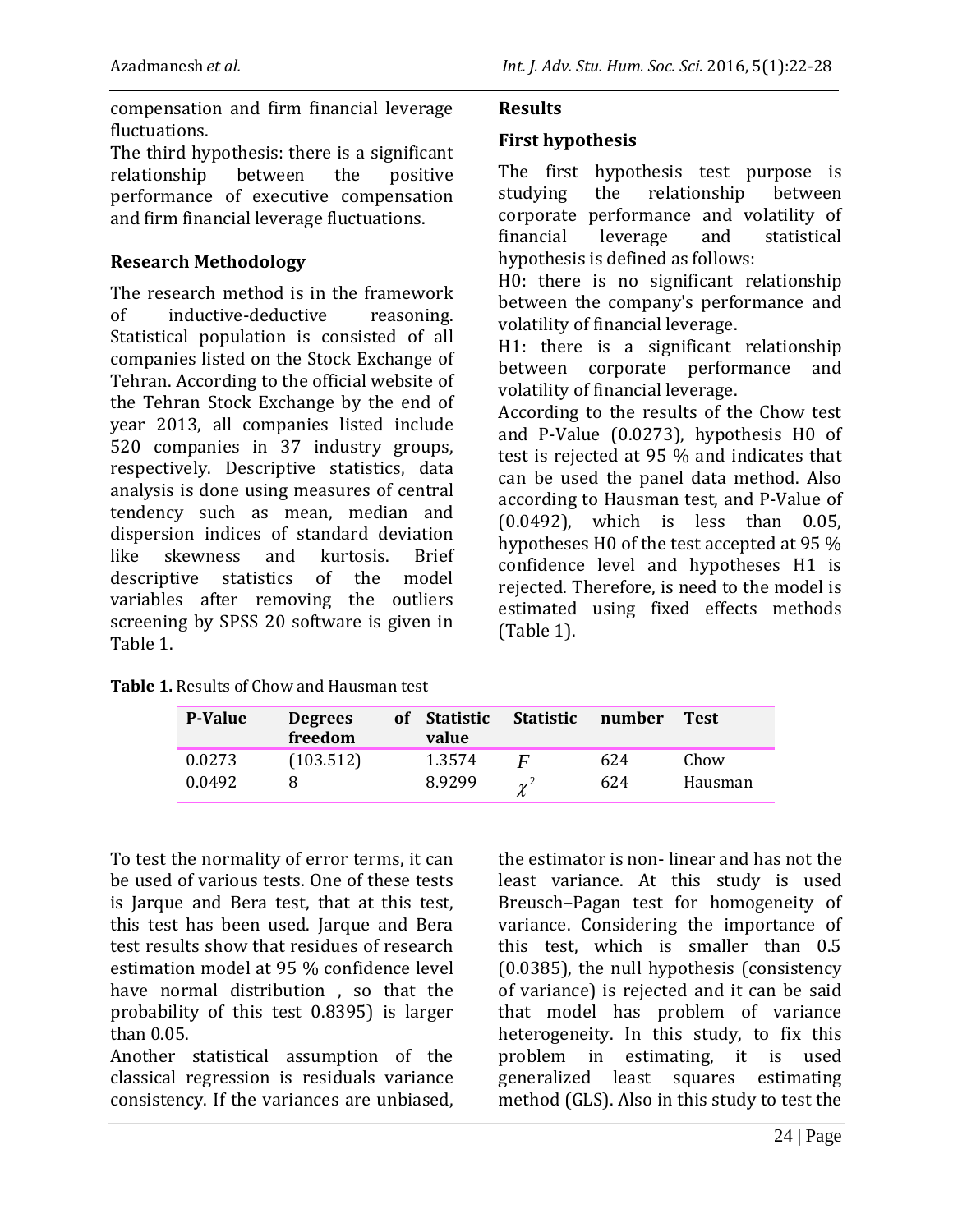compensation and firm financial leverage fluctuations.

The third hypothesis: there is a significant relationship between the positive performance of executive compensation and firm financial leverage fluctuations.

#### **Research Methodology**

The research method is in the framework of inductive-deductive reasoning. Statistical population is consisted of all companies listed on the Stock Exchange of Tehran. According to the official website of the Tehran Stock Exchange by the end of year 2013, all companies listed include 520 companies in 37 industry groups, respectively. Descriptive statistics, data analysis is done using measures of central tendency such as mean, median and dispersion indices of standard deviation like skewness and kurtosis. Brief descriptive statistics of the model variables after removing the outliers screening by SPSS 20 software is given in Table 1.

|--|

#### **First hypothesis**

The first hypothesis test purpose is<br>studving the relationship between studying the relationship between corporate performance and volatility of financial leverage and statistical hypothesis is defined as follows:

H0: there is no significant relationship between the company's performance and volatility of financial leverage.

H1: there is a significant relationship between corporate performance and volatility of financial leverage.

According to the results of the Chow test and P-Value (0.0273), hypothesis H0 of test is rejected at 95 % and indicates that can be used the panel data method. Also according to Hausman test, and P-Value of (0.0492), which is less than 0.05, hypotheses H0 of the test accepted at 95 % confidence level and hypotheses H1 is rejected. Therefore, is need to the model is estimated using fixed effects methods (Table 1).

| <b>P-Value</b> | <b>Degrees</b><br>freedom | of Statistic<br>value | <b>Statistic</b> | number | <b>Test</b> |
|----------------|---------------------------|-----------------------|------------------|--------|-------------|
| 0.0273         | (103.512)                 | 1.3574                |                  | 624    | Chow        |
| 0.0492         |                           | 8.9299                | $\gamma^2$       | 624    | Hausman     |

To test the normality of error terms, it can be used of various tests. One of these tests is Jarque and Bera test, that at this test, this test has been used. Jarque and Bera test results show that residues of research estimation model at 95 % confidence level have normal distribution , so that the probability of this test 0.8395) is larger than 0.05.

Another statistical assumption of the classical regression is residuals variance consistency. If the variances are unbiased,

the estimator is non- linear and has not the least variance. At this study is used Breusch–Pagan test for homogeneity of variance. Considering the importance of this test, which is smaller than 0.5 (0.0385), the null hypothesis (consistency of variance) is rejected and it can be said that model has problem of variance heterogeneity. In this study, to fix this problem in estimating, it is used generalized least squares estimating method (GLS). Also in this study to test the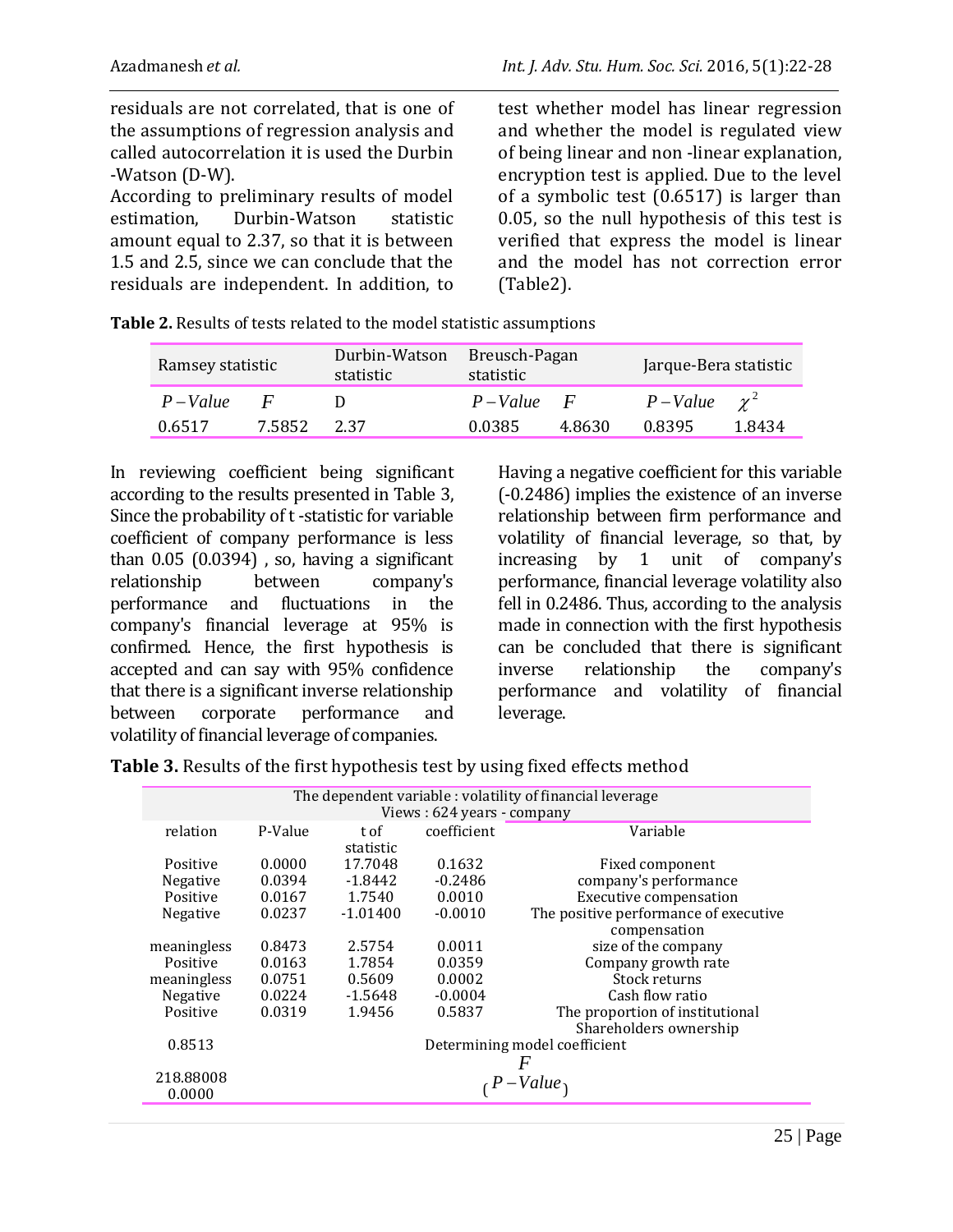residuals are not correlated, that is one of the assumptions of regression analysis and called autocorrelation it is used the Durbin -Watson (D-W).

According to preliminary results of model estimation, Durbin-Watson statistic amount equal to 2.37, so that it is between 1.5 and 2.5, since we can conclude that the residuals are independent. In addition, to

test whether model has linear regression and whether the model is regulated view of being linear and non -linear explanation, encryption test is applied. Due to the level of a symbolic test (0.6517) is larger than 0.05, so the null hypothesis of this test is verified that express the model is linear and the model has not correction error (Table2).

| <b>Table 2.</b> Results of tests related to the model statistic assumptions |                             |  |                               |  |
|-----------------------------------------------------------------------------|-----------------------------|--|-------------------------------|--|
| Ramsov statistic                                                            | Durbin-Watson Breusch-Pagan |  | I <sub>2</sub> 1 <sub>1</sub> |  |

| Ramsey statistic |              | Durbin-Watson<br>statistic | Breusch-Pagan<br>statistic |              | Jarque-Bera statistic |        |
|------------------|--------------|----------------------------|----------------------------|--------------|-----------------------|--------|
| $P-Value$        | $\mathbf{F}$ |                            | $P-Value$                  | $\mathbf{F}$ | $P-Value \gamma^2$    |        |
| 0.6517           | 7.5852       | 2.37                       | 0.0385                     | 4.8630       | 0.8395                | 1.8434 |

In reviewing coefficient being significant according to the results presented in Table 3, Since the probability of t -statistic for variable coefficient of company performance is less than  $0.05$   $(0.0394)$ , so, having a significant relationship between company's performance and fluctuations in the company's financial leverage at 95% is confirmed. Hence, the first hypothesis is accepted and can say with 95% confidence that there is a significant inverse relationship between corporate performance and volatility of financial leverage of companies.

Having a negative coefficient for this variable (-0.2486) implies the existence of an inverse relationship between firm performance and volatility of financial leverage, so that, by increasing by 1 unit of company's performance, financial leverage volatility also fell in 0.2486. Thus, according to the analysis made in connection with the first hypothesis can be concluded that there is significant inverse relationship the company's performance and volatility of financial leverage.

**Table 3.** Results of the first hypothesis test by using fixed effects method

|                            | The dependent variable: volatility of financial leverage |            |             |                                       |  |
|----------------------------|----------------------------------------------------------|------------|-------------|---------------------------------------|--|
| Views: 624 years - company |                                                          |            |             |                                       |  |
| relation                   | P-Value                                                  | t of       | coefficient | Variable                              |  |
|                            |                                                          | statistic  |             |                                       |  |
| Positive                   | 0.0000                                                   | 17.7048    | 0.1632      | Fixed component                       |  |
| <b>Negative</b>            | 0.0394                                                   | -1.8442    | $-0.2486$   | company's performance                 |  |
| Positive                   | 0.0167                                                   | 1.7540     | 0.0010      |                                       |  |
|                            |                                                          |            |             | <b>Executive compensation</b>         |  |
| <b>Negative</b>            | 0.0237                                                   | $-1.01400$ | $-0.0010$   | The positive performance of executive |  |
|                            |                                                          |            |             | compensation                          |  |
| meaningless                | 0.8473                                                   | 2.5754     | 0.0011      | size of the company                   |  |
| Positive                   | 0.0163                                                   | 1.7854     | 0.0359      | Company growth rate                   |  |
| meaningless                | 0.0751                                                   | 0.5609     | 0.0002      | Stock returns                         |  |
| Negative                   | 0.0224                                                   | -1.5648    | $-0.0004$   | Cash flow ratio                       |  |
| Positive                   | 0.0319                                                   | 1.9456     | 0.5837      | The proportion of institutional       |  |
|                            |                                                          |            |             | Shareholders ownership                |  |
| 0.8513                     | Determining model coefficient                            |            |             |                                       |  |
|                            |                                                          |            |             | F                                     |  |
| 218.88008                  |                                                          |            |             |                                       |  |
| 0.0000                     | $P-Value_1$                                              |            |             |                                       |  |
|                            |                                                          |            |             |                                       |  |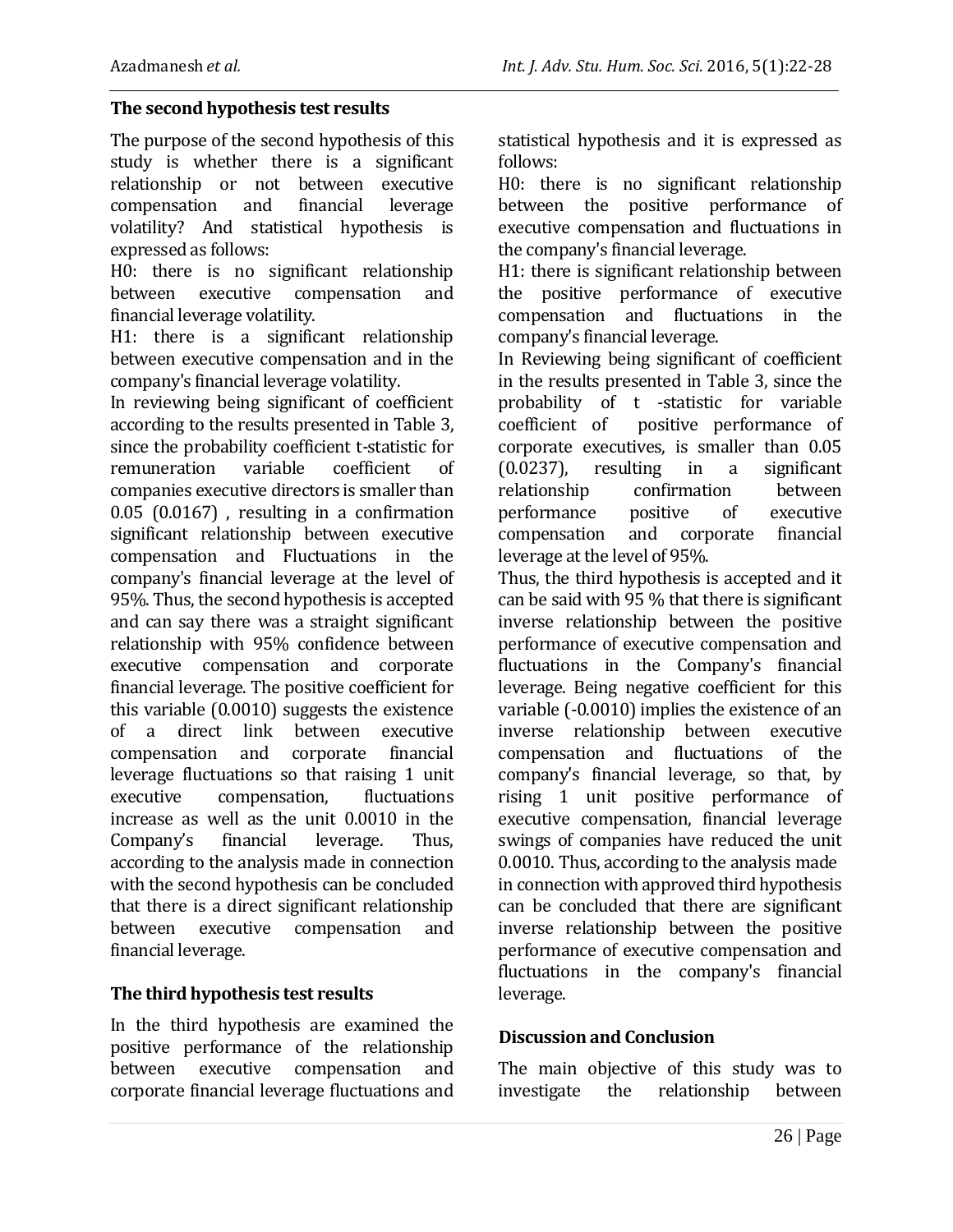#### **The second hypothesis test results**

The purpose of the second hypothesis of this study is whether there is a significant relationship or not between executive compensation and financial leverage volatility? And statistical hypothesis is expressed as follows:

H0: there is no significant relationship between executive compensation and financial leverage volatility.

H1: there is a significant relationship between executive compensation and in the company's financial leverage volatility.

In reviewing being significant of coefficient according to the results presented in Table 3, since the probability coefficient t-statistic for remuneration variable coefficient of companies executive directors is smaller than 0.05 (0.0167) , resulting in a confirmation significant relationship between executive compensation and Fluctuations in the company's financial leverage at the level of 95%. Thus, the second hypothesis is accepted and can say there was a straight significant relationship with 95% confidence between executive compensation and corporate financial leverage. The positive coefficient for this variable (0.0010) suggests the existence of a direct link between executive compensation and corporate financial leverage fluctuations so that raising 1 unit executive compensation, fluctuations increase as well as the unit 0.0010 in the Company's financial leverage. Thus, according to the analysis made in connection with the second hypothesis can be concluded that there is a direct significant relationship between executive compensation and financial leverage.

## **The third hypothesis test results**

In the third hypothesis are examined the positive performance of the relationship between executive compensation and corporate financial leverage fluctuations and statistical hypothesis and it is expressed as follows:

H0: there is no significant relationship between the positive performance of executive compensation and fluctuations in the company's financial leverage.

H1: there is significant relationship between the positive performance of executive compensation and fluctuations in the company's financial leverage.

In Reviewing being significant of coefficient in the results presented in Table 3, since the probability of t -statistic for variable coefficient of positive performance of corporate executives, is smaller than 0.05 (0.0237), resulting in a significant relationship confirmation between performance positive of executive compensation and corporate financial leverage at the level of 95%.

Thus, the third hypothesis is accepted and it can be said with 95 % that there is significant inverse relationship between the positive performance of executive compensation and fluctuations in the Company's financial leverage. Being negative coefficient for this variable (-0.0010) implies the existence of an inverse relationship between executive compensation and fluctuations of the company's financial leverage, so that, by rising 1 unit positive performance of executive compensation, financial leverage swings of companies have reduced the unit 0.0010. Thus, according to the analysis made in connection with approved third hypothesis can be concluded that there are significant inverse relationship between the positive performance of executive compensation and fluctuations in the company's financial leverage.

#### **Discussion and Conclusion**

The main objective of this study was to investigate the relationship between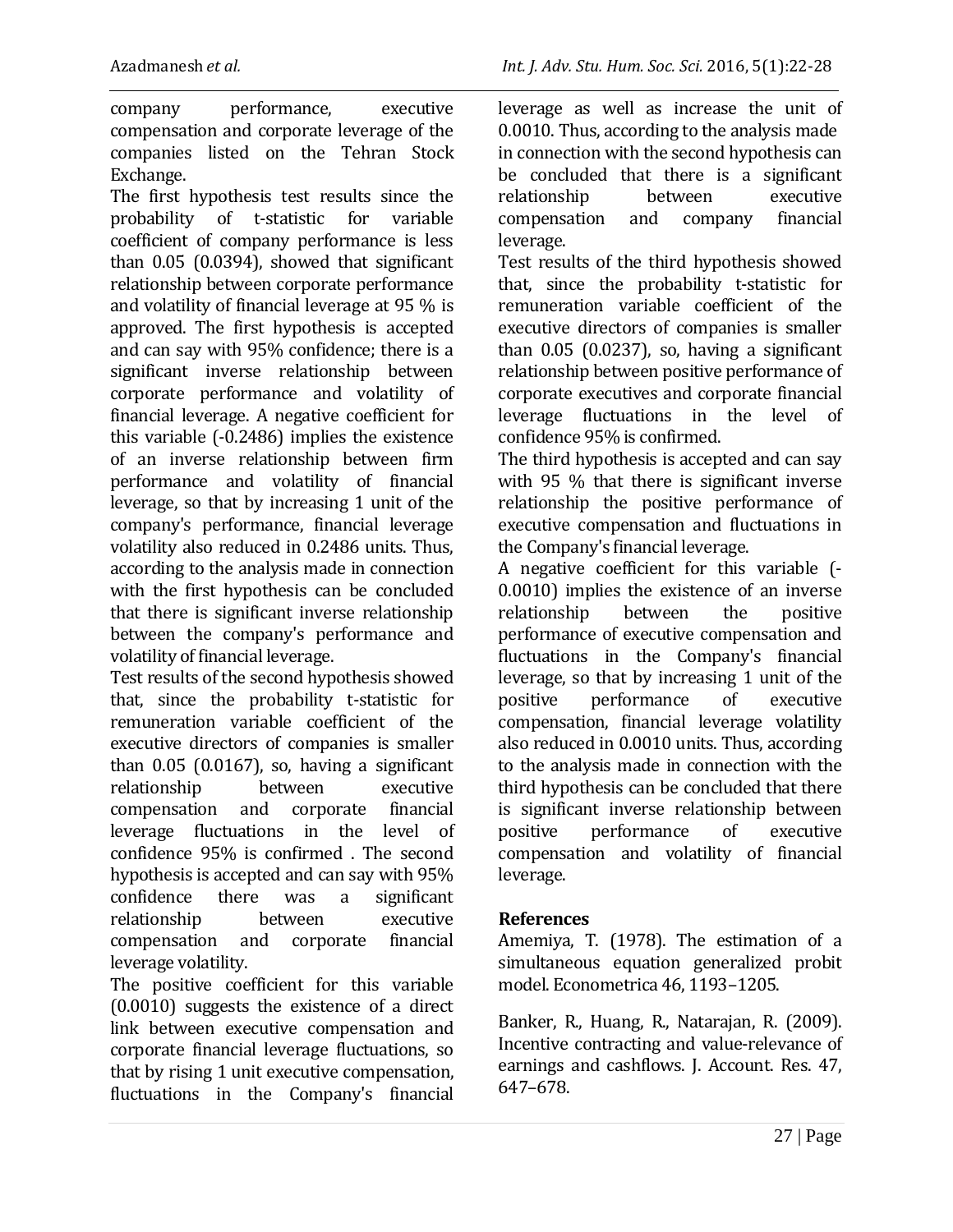company performance, executive compensation and corporate leverage of the companies listed on the Tehran Stock Exchange.

The first hypothesis test results since the probability of t-statistic for variable coefficient of company performance is less than 0.05 (0.0394), showed that significant relationship between corporate performance and volatility of financial leverage at 95 % is approved. The first hypothesis is accepted and can say with 95% confidence; there is a significant inverse relationship between corporate performance and volatility of financial leverage. A negative coefficient for this variable (-0.2486) implies the existence of an inverse relationship between firm performance and volatility of financial leverage, so that by increasing 1 unit of the company's performance, financial leverage volatility also reduced in 0.2486 units. Thus, according to the analysis made in connection with the first hypothesis can be concluded that there is significant inverse relationship between the company's performance and volatility of financial leverage.

Test results of the second hypothesis showed that, since the probability t-statistic for remuneration variable coefficient of the executive directors of companies is smaller than  $0.05$  (0.0167), so, having a significant relationship between executive compensation and corporate financial leverage fluctuations in the level of confidence 95% is confirmed . The second hypothesis is accepted and can say with 95% confidence there was a significant relationship between executive compensation and corporate financial leverage volatility.

The positive coefficient for this variable (0.0010) suggests the existence of a direct link between executive compensation and corporate financial leverage fluctuations, so that by rising 1 unit executive compensation, fluctuations in the Company's financial leverage as well as increase the unit of 0.0010. Thus, according to the analysis made in connection with the second hypothesis can be concluded that there is a significant relationship between executive compensation and company financial leverage.

Test results of the third hypothesis showed that, since the probability t-statistic for remuneration variable coefficient of the executive directors of companies is smaller than 0.05 (0.0237), so, having a significant relationship between positive performance of corporate executives and corporate financial leverage fluctuations in the level of confidence 95% is confirmed.

The third hypothesis is accepted and can say with 95 % that there is significant inverse relationship the positive performance of executive compensation and fluctuations in the Company's financial leverage.

A negative coefficient for this variable (- 0.0010) implies the existence of an inverse relationship between the positive performance of executive compensation and fluctuations in the Company's financial leverage, so that by increasing 1 unit of the positive performance of executive compensation, financial leverage volatility also reduced in 0.0010 units. Thus, according to the analysis made in connection with the third hypothesis can be concluded that there is significant inverse relationship between positive performance of executive compensation and volatility of financial leverage.

## **References**

Amemiya, T. (1978). The estimation of a simultaneous equation generalized probit model. Econometrica 46, 1193–1205.

Banker, R., Huang, R., Natarajan, R. (2009). Incentive contracting and value-relevance of earnings and cashflows. J. Account. Res. 47, 647–678.